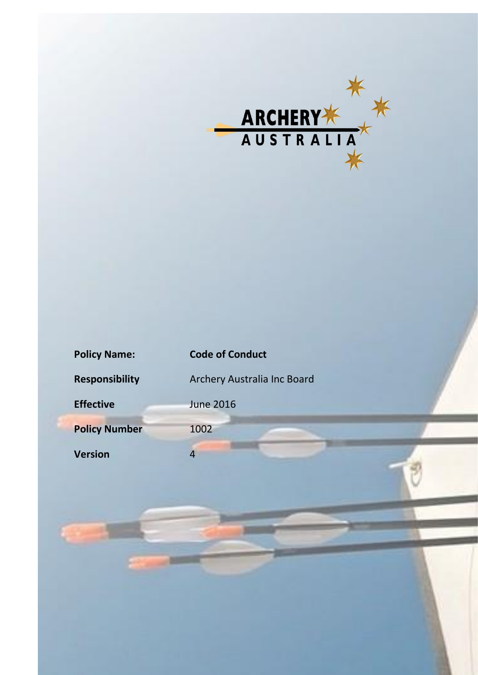

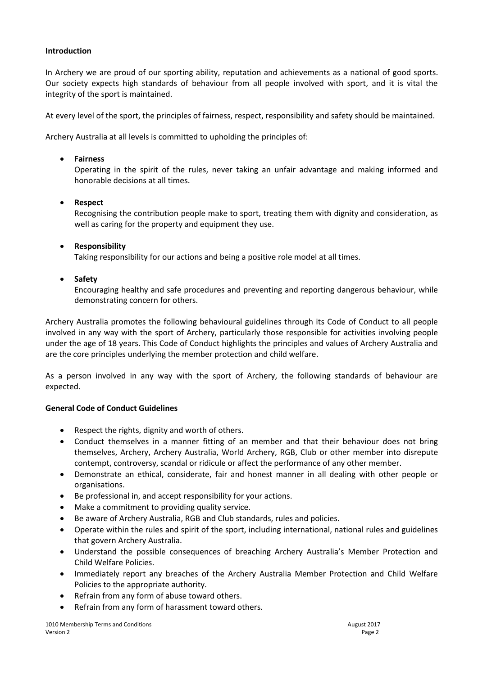## **Introduction**

In Archery we are proud of our sporting ability, reputation and achievements as a national of good sports. Our society expects high standards of behaviour from all people involved with sport, and it is vital the integrity of the sport is maintained.

At every level of the sport, the principles of fairness, respect, responsibility and safety should be maintained.

Archery Australia at all levels is committed to upholding the principles of:

### **Fairness**

Operating in the spirit of the rules, never taking an unfair advantage and making informed and honorable decisions at all times.

## **Respect**

Recognising the contribution people make to sport, treating them with dignity and consideration, as well as caring for the property and equipment they use.

## **Responsibility**

Taking responsibility for our actions and being a positive role model at all times.

## **Safety**

Encouraging healthy and safe procedures and preventing and reporting dangerous behaviour, while demonstrating concern for others.

Archery Australia promotes the following behavioural guidelines through its Code of Conduct to all people involved in any way with the sport of Archery, particularly those responsible for activities involving people under the age of 18 years. This Code of Conduct highlights the principles and values of Archery Australia and are the core principles underlying the member protection and child welfare.

As a person involved in any way with the sport of Archery, the following standards of behaviour are expected.

#### **General Code of Conduct Guidelines**

- Respect the rights, dignity and worth of others.
- Conduct themselves in a manner fitting of an member and that their behaviour does not bring themselves, Archery, Archery Australia, World Archery, RGB, Club or other member into disrepute contempt, controversy, scandal or ridicule or affect the performance of any other member.
- Demonstrate an ethical, considerate, fair and honest manner in all dealing with other people or organisations.
- Be professional in, and accept responsibility for your actions.
- Make a commitment to providing quality service.
- Be aware of Archery Australia, RGB and Club standards, rules and policies.
- Operate within the rules and spirit of the sport, including international, national rules and guidelines that govern Archery Australia.
- Understand the possible consequences of breaching Archery Australia's Member Protection and Child Welfare Policies.
- Immediately report any breaches of the Archery Australia Member Protection and Child Welfare Policies to the appropriate authority.
- Refrain from any form of abuse toward others.
- Refrain from any form of harassment toward others.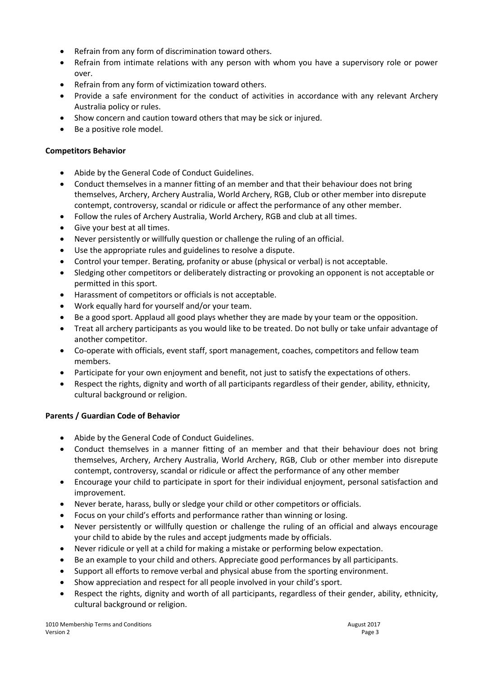- Refrain from any form of discrimination toward others.
- Refrain from intimate relations with any person with whom you have a supervisory role or power over.
- Refrain from any form of victimization toward others.
- Provide a safe environment for the conduct of activities in accordance with any relevant Archery Australia policy or rules.
- Show concern and caution toward others that may be sick or injured.
- Be a positive role model.

# **Competitors Behavior**

- Abide by the General Code of Conduct Guidelines.
- Conduct themselves in a manner fitting of an member and that their behaviour does not bring themselves, Archery, Archery Australia, World Archery, RGB, Club or other member into disrepute contempt, controversy, scandal or ridicule or affect the performance of any other member.
- Follow the rules of Archery Australia, World Archery, RGB and club at all times.
- Give your best at all times.
- Never persistently or willfully question or challenge the ruling of an official.
- Use the appropriate rules and guidelines to resolve a dispute.
- Control your temper. Berating, profanity or abuse (physical or verbal) is not acceptable.
- Sledging other competitors or deliberately distracting or provoking an opponent is not acceptable or permitted in this sport.
- Harassment of competitors or officials is not acceptable.
- Work equally hard for yourself and/or your team.
- Be a good sport. Applaud all good plays whether they are made by your team or the opposition.
- Treat all archery participants as you would like to be treated. Do not bully or take unfair advantage of another competitor.
- Co-operate with officials, event staff, sport management, coaches, competitors and fellow team members.
- Participate for your own enjoyment and benefit, not just to satisfy the expectations of others.
- Respect the rights, dignity and worth of all participants regardless of their gender, ability, ethnicity, cultural background or religion.

# **Parents / Guardian Code of Behavior**

- Abide by the General Code of Conduct Guidelines.
- Conduct themselves in a manner fitting of an member and that their behaviour does not bring themselves, Archery, Archery Australia, World Archery, RGB, Club or other member into disrepute contempt, controversy, scandal or ridicule or affect the performance of any other member
- Encourage your child to participate in sport for their individual enjoyment, personal satisfaction and improvement.
- Never berate, harass, bully or sledge your child or other competitors or officials.
- Focus on your child's efforts and performance rather than winning or losing.
- Never persistently or willfully question or challenge the ruling of an official and always encourage your child to abide by the rules and accept judgments made by officials.
- Never ridicule or yell at a child for making a mistake or performing below expectation.
- Be an example to your child and others. Appreciate good performances by all participants.
- Support all efforts to remove verbal and physical abuse from the sporting environment.
- Show appreciation and respect for all people involved in your child's sport.
- Respect the rights, dignity and worth of all participants, regardless of their gender, ability, ethnicity, cultural background or religion.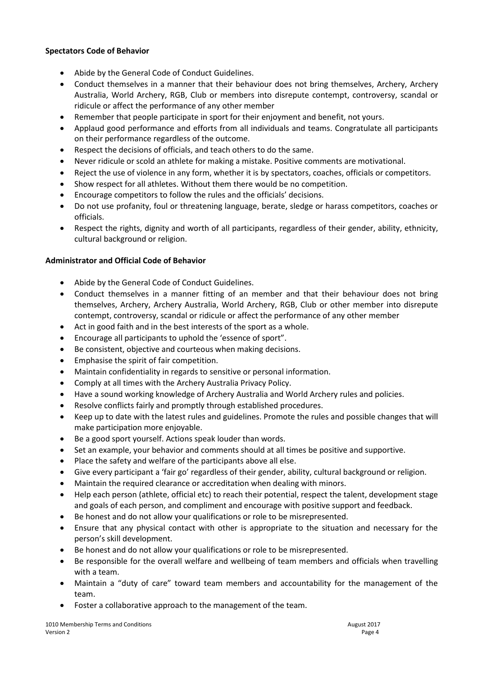## **Spectators Code of Behavior**

- Abide by the General Code of Conduct Guidelines.
- Conduct themselves in a manner that their behaviour does not bring themselves, Archery, Archery Australia, World Archery, RGB, Club or members into disrepute contempt, controversy, scandal or ridicule or affect the performance of any other member
- Remember that people participate in sport for their enjoyment and benefit, not yours.
- Applaud good performance and efforts from all individuals and teams. Congratulate all participants on their performance regardless of the outcome.
- Respect the decisions of officials, and teach others to do the same.
- Never ridicule or scold an athlete for making a mistake. Positive comments are motivational.
- Reject the use of violence in any form, whether it is by spectators, coaches, officials or competitors.
- Show respect for all athletes. Without them there would be no competition.
- Encourage competitors to follow the rules and the officials' decisions.
- Do not use profanity, foul or threatening language, berate, sledge or harass competitors, coaches or officials.
- Respect the rights, dignity and worth of all participants, regardless of their gender, ability, ethnicity, cultural background or religion.

# **Administrator and Official Code of Behavior**

- Abide by the General Code of Conduct Guidelines.
- Conduct themselves in a manner fitting of an member and that their behaviour does not bring themselves, Archery, Archery Australia, World Archery, RGB, Club or other member into disrepute contempt, controversy, scandal or ridicule or affect the performance of any other member
- Act in good faith and in the best interests of the sport as a whole.
- Encourage all participants to uphold the 'essence of sport".
- Be consistent, objective and courteous when making decisions.
- Emphasise the spirit of fair competition.
- Maintain confidentiality in regards to sensitive or personal information.
- Comply at all times with the Archery Australia Privacy Policy.
- Have a sound working knowledge of Archery Australia and World Archery rules and policies.
- Resolve conflicts fairly and promptly through established procedures.
- Keep up to date with the latest rules and guidelines. Promote the rules and possible changes that will make participation more enjoyable.
- Be a good sport yourself. Actions speak louder than words.
- Set an example, your behavior and comments should at all times be positive and supportive.
- Place the safety and welfare of the participants above all else.
- Give every participant a 'fair go' regardless of their gender, ability, cultural background or religion.
- Maintain the required clearance or accreditation when dealing with minors.
- Help each person (athlete, official etc) to reach their potential, respect the talent, development stage and goals of each person, and compliment and encourage with positive support and feedback.
- Be honest and do not allow your qualifications or role to be misrepresented.
- Ensure that any physical contact with other is appropriate to the situation and necessary for the person's skill development.
- Be honest and do not allow your qualifications or role to be misrepresented.
- Be responsible for the overall welfare and wellbeing of team members and officials when travelling with a team.
- Maintain a "duty of care" toward team members and accountability for the management of the team.
- Foster a collaborative approach to the management of the team.